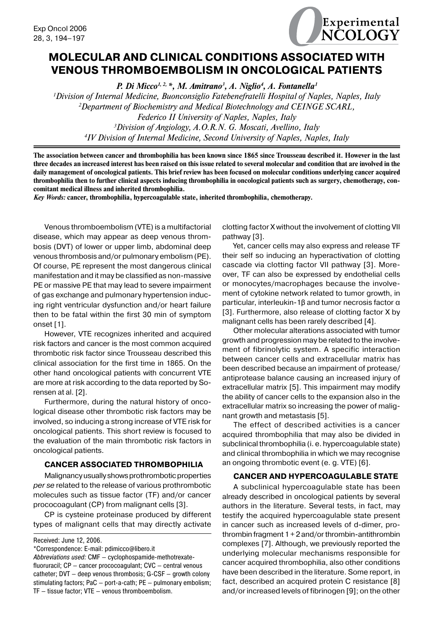

# **Molecular and clinical conditions associated with venous thromboembolism in oncological patients**

P. Di Micco<sup>1, 2,</sup> \*, M. Amitrano<sup>3</sup>, A. Niglio<sup>4</sup>, A. Fontanella<sup>1</sup> *Division of Internal Medicine, Buonconsiglio Fatebenefratelli Hospital of Naples, Naples, Italy Department of Biochemistry and Medical Biotechnology and CEINGE SCARL, Federico II University of Naples, Naples, Italy Division of Angiology, A.O.R.N. G. Moscati, Avellino, Italy IV Division of Internal Medicine, Second University of Naples, Naples, Italy*

**The association between cancer and thrombophilia has been known since 1865 since Trousseau described it. However in the last three decades an increased interest has been raised on this issue related to several molecular and condition that are involved in the daily management of oncological patients. This brief review has been focused on molecular conditions underlying cancer acquired thrombophilia then to further clinical aspects inducing thrombophilia in oncological patients such as surgery, chemotherapy, concomitant medical illness and inherited thrombophilia.**

*Key Words:* **cancer, thrombophilia, hypercoagulable state, inherited thrombophilia, chemotherapy.**

Venous thromboembolism (VTE) is a multifactorial disease, which may appear as deep venous thrombosis (DVT) of lower or upper limb, abdominal deep venous thrombosis and/or pulmonary embolism (PE). Of course, PE represent the most dangerous clinical manifestation and it may be classified as non-massive PE or massive PE that may lead to severe impairment of gas exchange and pulmonary hypertension inducing right ventricular dysfunction and/or heart failure then to be fatal within the first 30 min of symptom onset [1].

However, VTE recognizes inherited and acquired risk factors and cancer is the most common acquired thrombotic risk factor since Trousseau described this clinical association for the first time in 1865. On the other hand oncological patients with concurrent VTE are more at risk according to the data reported by Sorensen at al. [2].

Furthermore, during the natural history of oncological disease other thrombotic risk factors may be involved, so inducing a strong increase of VTE risk for oncological patients. This short review is focused to the evaluation of the main thrombotic risk factors in oncological patients.

## **Cancer associated thrombophilia**

Malignancy usually shows prothrombotic properties *per se* related to the release of various prothrombotic molecules such as tissue factor (TF) and/or cancer prococoagulant (CP) from malignant cells [3].

CP is cysteine proteinase produced by different types of malignant cells that may directly activate

Received: June 12, 2006.

*Abbreviations used:* CMF — cyclophospamide-methotrexatefluoruracil; CP — cancer prococoagulant; CVC — central venous catheter; DVT — deep venous thrombosis; G-CSF — growth colony stimulating factors; PaC — port-a-cath; PE — pulmonary embolism; TF — tissue factor; VTE — venous thromboembolism.

clotting factor X without the involvement of clotting VII pathway [3].

Yet, cancer cells may also express and release TF their self so inducing an hyperactivation of clotting cascade via clotting factor VII pathway [3]. Moreover, TF can also be expressed by endothelial cells or monocytes/macrophages because the involvement of cytokine network related to tumor growth, in particular, interleukin-1β and tumor necrosis factor α [3]. Furthermore, also release of clotting factor X by malignant cells has been rarely described [4].

Other molecular alterations associated with tumor growth and progression may be related to the involvement of fibrinolytic system. A specific interaction between cancer cells and extracellular matrix has been described because an impairment of protease/ antiprotease balance causing an increased injury of extracellular matrix [5]. This impairment may modify the ability of cancer cells to the expansion also in the extracellular matrix so increasing the power of malignant growth and metastasis [5].

The effect of described activities is a cancer acquired thrombophilia that may also be divided in subclinical thrombophilia (i. e. hypercoagulable state) and clinical thrombophilia in which we may recognise an ongoing thrombotic event (e. g. VTE) [6].

### **Cancer and hypercoagulable state**

A subclinical hypercoagulable state has been already described in oncological patients by several authors in the literature. Several tests, in fact, may testify the acquired hypercoagulable state present in cancer such as increased levels of d-dimer, prothrombin fragment  $1 + 2$  and/or thrombin-antithrombin complexes [7]. Although, we previously reported the underlying molecular mechanisms responsible for cancer acquired thrombophilia, also other conditions have been described in the literature. Some report, in fact, described an acquired protein C resistance [8] and/or increased levels of fibrinogen [9]; on the other

<sup>\*</sup>Correspondence: E-mail: pdimicco@libero.it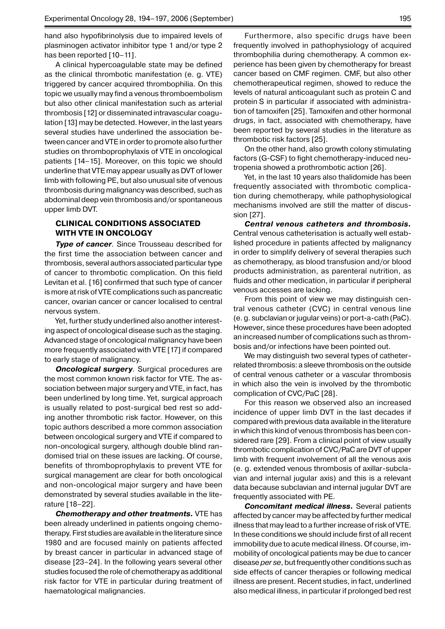hand also hypofibrinolysis due to impaired levels of plasminogen activator inhibitor type 1 and/or type 2 has been reported [10-11].

A clinical hypercoagulable state may be defined as the clinical thrombotic manifestation (e. g. VTE) triggered by cancer acquired thrombophilia. On this topic we usually may find a venous thromboembolism but also other clinical manifestation such as arterial thrombosis [12] or disseminated intravascular coagulation [13] may be detected. However, in the last years several studies have underlined the association between cancer and VTE in order to promote also further studies on thromboprophylaxis of VTE in oncological patients [14–15]. Moreover, on this topic we should underline that VTE may appear usually as DVT of lower limb with following PE, but also unusual site of venous thrombosis during malignancy was described, such as abdominal deep vein thrombosis and/or spontaneous upper limb DVT.

## **Clinical conditions associated with VTE in oncology**

**Type of cancer**. Since Trousseau described for the first time the association between cancer and thrombosis, several authors associated particular type of cancer to thrombotic complication. On this field Levitan et al. [16] confirmed that such type of cancer is more at risk of VTE complications such as pancreatic cancer, ovarian cancer or cancer localised to central nervous system.

Yet, further study underlined also another interesting aspect of oncological disease such as the staging. Advanced stage of oncological malignancy have been more frequently associated with VTE [17] if compared to early stage of malignancy.

*Oncological surgery.* Surgical procedures are the most common known risk factor for VTE. The association between major surgery and VTE, in fact, has been underlined by long time. Yet, surgical approach is usually related to post-surgical bed rest so adding another thrombotic risk factor. However, on this topic authors described a more common association between oncological surgery and VTE if compared to non-oncological surgery, although double blind randomised trial on these issues are lacking. Of course, benefits of thromboprophylaxis to prevent VTE for surgical management are clear for both oncological and non-oncological major surgery and have been demonstrated by several studies available in the literature [18–22].

*Chemotherapy and other treatments.* VTE has been already underlined in patients ongoing chemotherapy. First studies are available in the literature since 1980 and are focused mainly on patients affected by breast cancer in particular in advanced stage of disease [23–24]. In the following years several other studies focused the role of chemotherapy as additional risk factor for VTE in particular during treatment of haematological malignancies.

Furthermore, also specific drugs have been frequently involved in pathophysiology of acquired thrombophilia during chemotherapy. A common experience has been given by chemotherapy for breast cancer based on CMF regimen. CMF, but also other chemotherapeutical regimen, showed to reduce the levels of natural anticoagulant such as protein C and protein S in particular if associated with administration of tamoxifen [25]. Tamoxifen and other hormonal drugs, in fact, associated with chemotherapy, have been reported by several studies in the literature as thrombotic risk factors [25].

On the other hand, also growth colony stimulating factors (G-CSF) to fight chemotherapy-induced neutropenia showed a prothrombotic action [26].

Yet, in the last 10 years also thalidomide has been frequently associated with thrombotic complication during chemotherapy, while pathophysiological mechanisms involved are still the matter of discussion [27].

*Central venous catheters and thrombosis.* Central venous catheterisation is actually well established procedure in patients affected by malignancy in order to simplify delivery of several therapies such as chemotherapy, as blood transfusion and/or blood products administration, as parenteral nutrition, as fluids and other medication, in particular if peripheral venous accesses are lacking.

From this point of view we may distinguish central venous catheter (CVC) in central venous line (e. g. subclavian orjugular veins) or port-a-cath (PaC). However, since these procedures have been adopted an increased number of complications such as thrombosis and/or infections have been pointed out.

We may distinguish two several types of catheterrelated thrombosis: a sleeve thrombosis on the outside of central venous catheter or a vascular thrombosis in which also the vein is involved by the thrombotic complication of CVC/PaC [28].

For this reason we observed also an increased incidence of upper limb DVT in the last decades if compared with previous data available in the literature in which this kind of venous thrombosis has been considered rare [29]. From a clinical point of view usually thrombotic complication of CVC/PaC are DVT of upper limb with frequent involvement of all the venous axis (e. g. extended venous thrombosis of axillar-subclavian and internal jugular axis) and this is a relevant data because subclavian and internal jugular DVT are frequently associated with PE.

*Concomitant medical illness.* Several patients affected by cancer may be affected by further medical illness that may lead to a further increase of risk of VTE. In these conditions we should include first of all recent immobility due to acute medical illness. Of course, immobility of oncological patients may be due to cancer disease *per se*, butfrequently other conditions such as side effects of cancer therapies or following medical illness are present. Recent studies, in fact, underlined also medical illness, in particularif prolonged bed rest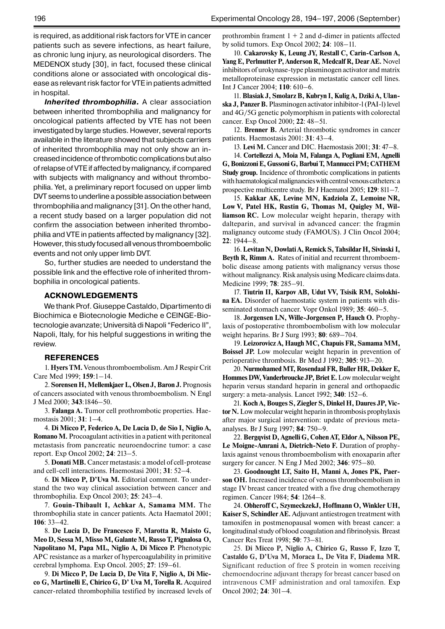is required, as additional risk factors for VTE in cancer patients such as severe infections, as heart failure, as chronic lung injury, as neurological disorders. The MEDENOX study [30], in fact, focused these clinical conditions alone or associated with oncological disease as relevant risk factor for VTE in patients admitted in hospital.

*Inherited thrombophilia.* A clear association between inherited thrombophilia and malignancy for oncological patients affected by VTE has not been investigated by large studies. However, several reports available in the literature showed that subjects carriers of inherited thrombophilia may not only show an increased incidence of thrombotic complications but also of relapse of VTE if affected by malignancy, if compared with subjects with malignancy and without thrombophilia. Yet, a preliminary report focused on upper limb DVT seems to underline a possible association between thrombophilia and malignancy [31]. On the other hand, a recent study based on a larger population did not confirm the association between inherited thrombophilia and VTE in patients affected by malignancy [32]. However, this study focused all venous thromboembolic events and not only upper limb DVT.

So, further studies are needed to understand the possible link and the effective role of inherited thrombophilia in oncological patients.

## **Acknowledgements**

We thank Prof. Giuseppe Castaldo, Dipartimento di Biochimica e Biotecnologie Mediche e CEINGE-Biotecnologie avanzate; Università di Napoli "Federico II", Napoli, Italy, for his helpful suggestions in writing the review.

#### **References**

1. **Hyers TM.** Venous thromboembolism. Am J Respir Crit Care Med 1999; **159**:1–14.

2. **Sorensen H, Mellemkjaer L, Olsen J, Baron J.** Prognosis of cancers associated with venous thromboembolism. N Engl J Med 2000; **343**:1846–50.

3. **Falanga A.** Tumor cell prothrombotic properties. Haemostasis 2001; **31**: 1–4.

4. **Di Micco P, Federico A, De Lucia D, de Sio I, Niglio A, Romano M.** Procoagulant activities in a patient with peritoneal metastasis from pancreatic neuroendocrine tumor: a case report. Exp Oncol 2002; **24**: 213–5.

5. **Donati MB.** Cancer metastasis: a model of cell-protease and cell-cell interactions. Haemostasi 2001; **31**: 52–4.

6. **Di Micco P, D'Uva M.** Editorial comment. To understand the two way clinical association between cancer and thrombophilia. Exp Oncol 2003; **25**: 243–4.

7. **Gouin-Thibault I, Achkar A, Samama MM.** The thrombophilia state in cancer patients. Acta Haematol 2001; **106**: 33–42.

8. **De Lucia D, De Francesco F, Marotta R, Maisto G, Meo D, Sessa M, Misso M, Galante M, Russo T, Pignalosa O,**  Napolitano M, Papa ML, Niglio A, Di Micco P. Phenotypic APC resistance as a marker of hypercoagulability in primitive cerebral lymphoma. Exp Oncol. 2005; **27**: 159–61.

9. **Di Micco P, De Lucia D, De Vita F, Niglio A, Di Micco G, Martinelli E, Chirico G, D' Uva M, Torella R.** Acquired cancer-related thrombophilia testified by increased levels of prothrombin frament  $1 + 2$  and d-dimer in patients affected by solid tumors. Exp Oncol 2002; **24**: 108–11.

10. **Cakarovsky K, Leung JY, Restall C, Carin-Carlson A, Yang E, Perlmutter P, Anderson R, Medcalf R, Dear AE.** Novel inhibitors of urokynase-type plasminogen activator and matrix metalloproteinase expression in metastatic cancer cell lines. Int J Cancer 2004; **110**: 610–6.

11. **Blasiak J, Smolarz B, Kubryn I, Kulig A, Dziki A, Ulanska J, Panzer B.** Plasminogen activator inhibitor-l (PAI-l) level and 4G/5G genetic polymorphism in patients with colorectal cancer. Exp Oncol 2000; **22**: 48–51.

12. **Brenner B.** Arterial thrombotic syndromes in cancer patients. Haemostasis 2001: **31**: 43–4.

13. **Levi M.** Cancer and DIC. Haemostasis 2001; **31**: 47–8.

14. **Cortellezzi A, Moia M, Falanga A, Pogliani EM, Agnelli G, Bonizzoni E, Gussoni G, Barbui T, Mannucci PM; CATHEM Study group.** Incidence of thrombotic complications in patients with haematological malignancies with central venous catheters: a prospective multicentre study. Br J Haematol 2005; **129**: 811–7.

15. **Kakkar AK, Levine MN, Kadziola Z, Lemoine NR, Low V, Patel HK, Rustin G, Thomas M, Quigley M, Williamson RC.** Low molecular weight heparin, therapy with dalteparin, and survival in advanced cancer: the fragmin malignancy outcome study (FAMOUS). J Clin Oncol 2004; **22**: 1944–8.

16. **Levitan N, Dowlati A, Remick S, Tahsildar H, Sivinski I, Beyth R, Rimm A.** Rates of initial and recurrent thromboembolic disease among patients with malignancy versus those without malignancy. Risk analysis using Medicare claims data. Medicine 1999; **78**: 285–91.

17. **Tiutrin II, Karpov AB, Udut VV, Tsisik RM, Solokhina EA.** Disorder of haemostatic system in patients with disseminated stomach cancer. Vopr Onkol 1989; **35**: 460–5.

18. **Jorgensen LN, Wille-Jorgensen P, Hauch O.** Prophylaxis of postoperative thromboembolism with low molecular weight heparins. Br J Surg 1993; **80**: 689–704.

19. **Leizorovicz A, Haugh MC, Chapuis FR, Samama MM, Boissel JP.** Low molecular weight heparin in prevention of perioperative thrombosis. Br Med J 1992; **305**: 913–20.

20. **Nurmohamed MT, Rosendaal FR, Buller HR, Dekker E, Hommes DW, Vanderbroucke JP, Briet E.** Low molecular weight heparin versus standard heparin in general and orthopaedic surgery: a meta-analysis. Lancet 1992; **340**: 152–6.

21. **Koch A, Bouges S, Ziegler S, Dinkel H, Daures JP, Victor N.** Low molecular weight heparin in thrombosis prophylaxis after major surgical intervention: update of previous metaanalyses. Br J Surg 1997; **84**: 750–9.

22. **Bergqvist D, Agnelli G, Cohen AT, Eldor A, Nilsson PE,**  Le Moigne-Amrani A, Dietrich-Neto F. Duration of prophylaxis against venous thromboembolism with enoxaparin after surgery for cancer. N Eng J Med 2002; **346**: 975–80.

23. **Goodnought LT, Saito H, Manni A, Jones PK, Paerson OH.** Increased incidence of venous thromboembolism in stage IV breast cancer treated with a five drug chemotherapy regimen. Cancer 1984; **54**: 1264–8.

24. **Obheroff C, SzymeckzekJ, Hoffmann O, Winkler UH, Kaiser S, Schindler AE.** Adjuvant antiestrogen treatment with tamoxifen in postmenopausal women with breast cancer: a longitudinal study of blood coagulation and fibrinolysis. Breast Cancer Res Treat 1998; **50**: 73–81.

25. **Di Micco P, Niglio A, Chirico G, Russo F, Izzo T, Castaldo G, D'Uva M, Moraca L, De Vita F, Diadema MR.**  Significant reduction of free S protein in women receiving chemoendocrine adjuvant therapy for breast cancer based on intravenous CMF administration and oral tamoxifen. Exp Oncol 2002; **24**: 301–4.